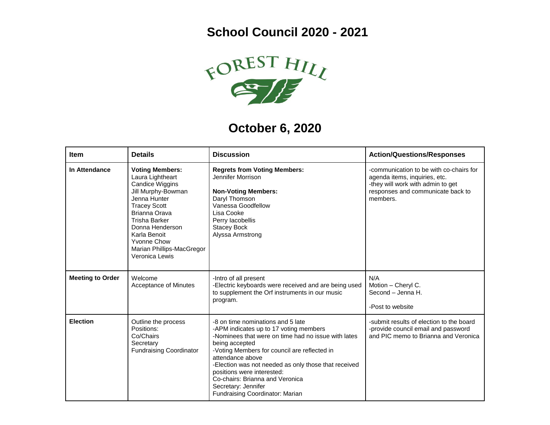## **School Council 2020 - 2021**



## **October 6, 2020**

| <b>Item</b>             | <b>Details</b>                                                                                                                                                                                                                                                              | <b>Discussion</b>                                                                                                                                                                                                                                                                                                                                                                                           | <b>Action/Questions/Responses</b>                                                                                                                              |
|-------------------------|-----------------------------------------------------------------------------------------------------------------------------------------------------------------------------------------------------------------------------------------------------------------------------|-------------------------------------------------------------------------------------------------------------------------------------------------------------------------------------------------------------------------------------------------------------------------------------------------------------------------------------------------------------------------------------------------------------|----------------------------------------------------------------------------------------------------------------------------------------------------------------|
| In Attendance           | <b>Voting Members:</b><br>Laura Lightheart<br>Candice Wiggins<br>Jill Murphy-Bowman<br>Jenna Hunter<br><b>Tracey Scott</b><br>Brianna Orava<br><b>Trisha Barker</b><br>Donna Henderson<br>Karla Benoit<br><b>Yvonne Chow</b><br>Marian Phillips-MacGregor<br>Veronica Lewis | <b>Regrets from Voting Members:</b><br>Jennifer Morrison<br><b>Non-Voting Members:</b><br>Daryl Thomson<br>Vanessa Goodfellow<br>Lisa Cooke<br>Perry lacobellis<br><b>Stacey Bock</b><br>Alyssa Armstrong                                                                                                                                                                                                   | -communication to be with co-chairs for<br>agenda items, inquiries, etc.<br>-they will work with admin to get<br>responses and communicate back to<br>members. |
| <b>Meeting to Order</b> | Welcome<br>Acceptance of Minutes                                                                                                                                                                                                                                            | -Intro of all present<br>-Electric keyboards were received and are being used<br>to supplement the Orf instruments in our music<br>program.                                                                                                                                                                                                                                                                 | N/A<br>Motion - Cheryl C.<br>Second - Jenna H.<br>-Post to website                                                                                             |
| <b>Election</b>         | Outline the process<br>Positions:<br>Co/Chairs<br>Secretary<br><b>Fundraising Coordinator</b>                                                                                                                                                                               | -8 on time nominations and 5 late<br>-APM indicates up to 17 voting members<br>-Nominees that were on time had no issue with lates<br>being accepted<br>-Voting Members for council are reflected in<br>attendance above<br>-Election was not needed as only those that received<br>positions were interested:<br>Co-chairs: Brianna and Veronica<br>Secretary: Jennifer<br>Fundraising Coordinator: Marian | -submit results of election to the board<br>-provide council email and password<br>and PIC memo to Brianna and Veronica                                        |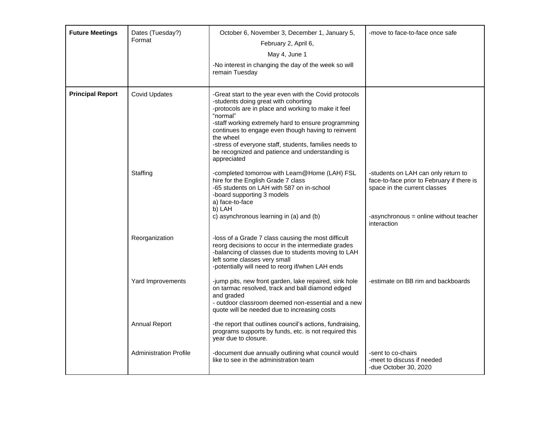| <b>Future Meetings</b>  | Dates (Tuesday?)<br>Format    | October 6, November 3, December 1, January 5,<br>February 2, April 6,<br>May 4, June 1<br>-No interest in changing the day of the week so will<br>remain Tuesday                                                                                                                                                                                                                                                        | -move to face-to-face once safe                                                                                                                                            |
|-------------------------|-------------------------------|-------------------------------------------------------------------------------------------------------------------------------------------------------------------------------------------------------------------------------------------------------------------------------------------------------------------------------------------------------------------------------------------------------------------------|----------------------------------------------------------------------------------------------------------------------------------------------------------------------------|
| <b>Principal Report</b> | <b>Covid Updates</b>          | -Great start to the year even with the Covid protocols<br>-students doing great with cohorting<br>-protocols are in place and working to make it feel<br>"normal"<br>-staff working extremely hard to ensure programming<br>continues to engage even though having to reinvent<br>the wheel<br>-stress of everyone staff, students, families needs to<br>be recognized and patience and understanding is<br>appreciated |                                                                                                                                                                            |
|                         | Staffing                      | -completed tomorrow with Learn@Home (LAH) FSL<br>hire for the English Grade 7 class<br>-65 students on LAH with 587 on in-school<br>-board supporting 3 models<br>a) face-to-face<br>b) LAH<br>c) asynchronous learning in (a) and (b)                                                                                                                                                                                  | -students on LAH can only return to<br>face-to-face prior to February if there is<br>space in the current classes<br>-asynchronous = online without teacher<br>interaction |
|                         | Reorganization                | -loss of a Grade 7 class causing the most difficult<br>reorg decisions to occur in the intermediate grades<br>-balancing of classes due to students moving to LAH<br>left some classes very small<br>-potentially will need to reorg if/when LAH ends                                                                                                                                                                   |                                                                                                                                                                            |
|                         | Yard Improvements             | -jump pits, new front garden, lake repaired, sink hole<br>on tarmac resolved, track and ball diamond edged<br>and graded<br>- outdoor classroom deemed non-essential and a new<br>quote will be needed due to increasing costs                                                                                                                                                                                          | -estimate on BB rim and backboards                                                                                                                                         |
|                         | <b>Annual Report</b>          | -the report that outlines council's actions, fundraising,<br>programs supports by funds, etc. is not required this<br>year due to closure.                                                                                                                                                                                                                                                                              |                                                                                                                                                                            |
|                         | <b>Administration Profile</b> | -document due annually outlining what council would<br>like to see in the administration team                                                                                                                                                                                                                                                                                                                           | -sent to co-chairs<br>-meet to discuss if needed<br>-due October 30, 2020                                                                                                  |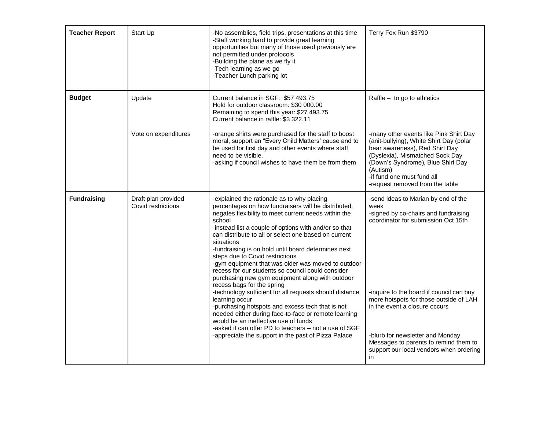| <b>Teacher Report</b> | Start Up                                  | -No assemblies, field trips, presentations at this time<br>-Staff working hard to provide great learning<br>opportunities but many of those used previously are<br>not permitted under protocols<br>-Building the plane as we fly it<br>-Tech learning as we go<br>-Teacher Lunch parking lot                                                                                                                                                                                                                                                                                                                                                                                                                                                                                                                                                                                                                                             | Terry Fox Run \$3790                                                                                                                                                                                                                                                                                                                                                                   |
|-----------------------|-------------------------------------------|-------------------------------------------------------------------------------------------------------------------------------------------------------------------------------------------------------------------------------------------------------------------------------------------------------------------------------------------------------------------------------------------------------------------------------------------------------------------------------------------------------------------------------------------------------------------------------------------------------------------------------------------------------------------------------------------------------------------------------------------------------------------------------------------------------------------------------------------------------------------------------------------------------------------------------------------|----------------------------------------------------------------------------------------------------------------------------------------------------------------------------------------------------------------------------------------------------------------------------------------------------------------------------------------------------------------------------------------|
| <b>Budget</b>         | Update                                    | Current balance in SGF: \$57 493.75<br>Hold for outdoor classroom: \$30 000.00<br>Remaining to spend this year: \$27 493.75<br>Current balance in raffle: \$3 322.11                                                                                                                                                                                                                                                                                                                                                                                                                                                                                                                                                                                                                                                                                                                                                                      | Raffle $-$ to go to athletics                                                                                                                                                                                                                                                                                                                                                          |
|                       | Vote on expenditures                      | -orange shirts were purchased for the staff to boost<br>moral, support an "Every Child Matters' cause and to<br>be used for first day and other events where staff<br>need to be visible.<br>-asking if council wishes to have them be from them                                                                                                                                                                                                                                                                                                                                                                                                                                                                                                                                                                                                                                                                                          | -many other events like Pink Shirt Day<br>(anit-bullying), White Shirt Day (polar<br>bear awareness), Red Shirt Day<br>(Dyslexia), Mismatched Sock Day<br>(Down's Syndrome), Blue Shirt Day<br>(Autism)<br>-if fund one must fund all<br>-request removed from the table                                                                                                               |
| <b>Fundraising</b>    | Draft plan provided<br>Covid restrictions | -explained the rationale as to why placing<br>percentages on how fundraisers will be distributed,<br>negates flexibility to meet current needs within the<br>school<br>-instead list a couple of options with and/or so that<br>can distribute to all or select one based on current<br>situations<br>-fundraising is on hold until board determines next<br>steps due to Covid restrictions<br>-gym equipment that was older was moved to outdoor<br>recess for our students so council could consider<br>purchasing new gym equipment along with outdoor<br>recess bags for the spring<br>-technology sufficient for all requests should distance<br>learning occur<br>-purchasing hotspots and excess tech that is not<br>needed either during face-to-face or remote learning<br>would be an ineffective use of funds<br>-asked if can offer PD to teachers - not a use of SGF<br>-appreciate the support in the past of Pizza Palace | -send ideas to Marian by end of the<br>week<br>-signed by co-chairs and fundraising<br>coordinator for submission Oct 15th<br>-inquire to the board if council can buy<br>more hotspots for those outside of LAH<br>in the event a closure occurs<br>-blurb for newsletter and Monday<br>Messages to parents to remind them to<br>support our local vendors when ordering<br><i>in</i> |